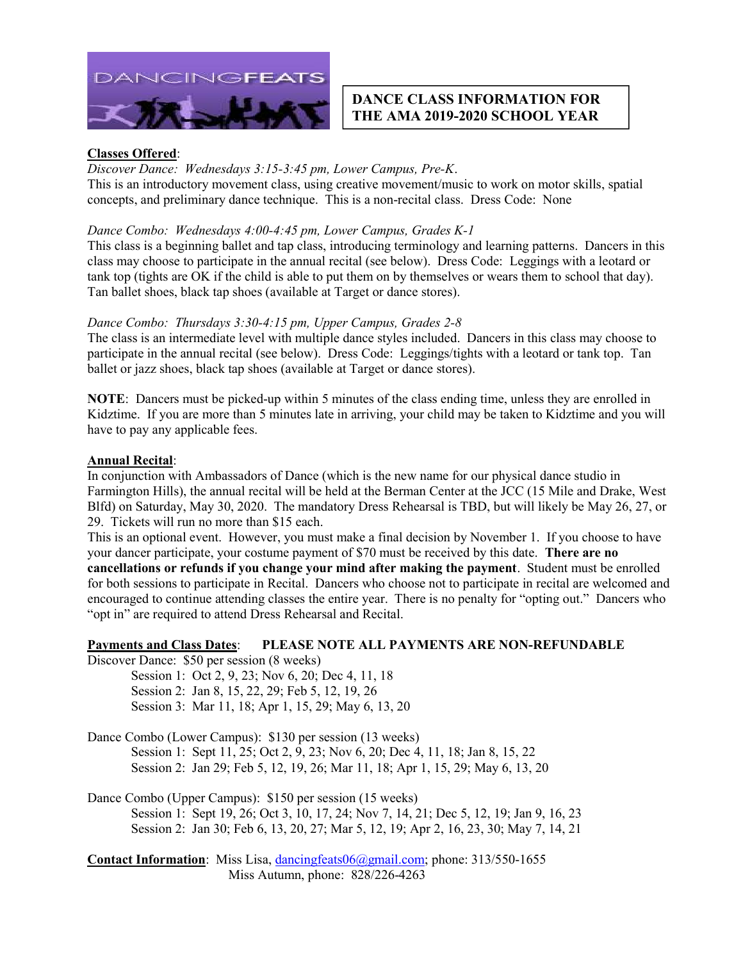

### DANCE CLASS INFORMATION FOR THE AMA 2019-2020 SCHOOL YEAR

#### Classes Offered:

#### Discover Dance: Wednesdays 3:15-3:45 pm, Lower Campus, Pre-K.

This is an introductory movement class, using creative movement/music to work on motor skills, spatial concepts, and preliminary dance technique. This is a non-recital class. Dress Code: None

#### Dance Combo: Wednesdays 4:00-4:45 pm, Lower Campus, Grades K-1

This class is a beginning ballet and tap class, introducing terminology and learning patterns. Dancers in this class may choose to participate in the annual recital (see below). Dress Code: Leggings with a leotard or tank top (tights are OK if the child is able to put them on by themselves or wears them to school that day). Tan ballet shoes, black tap shoes (available at Target or dance stores).

#### Dance Combo: Thursdays 3:30-4:15 pm, Upper Campus, Grades 2-8

The class is an intermediate level with multiple dance styles included. Dancers in this class may choose to participate in the annual recital (see below). Dress Code: Leggings/tights with a leotard or tank top. Tan ballet or jazz shoes, black tap shoes (available at Target or dance stores).

NOTE: Dancers must be picked-up within 5 minutes of the class ending time, unless they are enrolled in Kidztime. If you are more than 5 minutes late in arriving, your child may be taken to Kidztime and you will have to pay any applicable fees.

#### Annual Recital:

In conjunction with Ambassadors of Dance (which is the new name for our physical dance studio in Farmington Hills), the annual recital will be held at the Berman Center at the JCC (15 Mile and Drake, West Blfd) on Saturday, May 30, 2020. The mandatory Dress Rehearsal is TBD, but will likely be May 26, 27, or 29. Tickets will run no more than \$15 each.

This is an optional event. However, you must make a final decision by November 1. If you choose to have your dancer participate, your costume payment of \$70 must be received by this date. There are no

cancellations or refunds if you change your mind after making the payment. Student must be enrolled for both sessions to participate in Recital. Dancers who choose not to participate in recital are welcomed and encouraged to continue attending classes the entire year. There is no penalty for "opting out." Dancers who "opt in" are required to attend Dress Rehearsal and Recital.

#### Payments and Class Dates: PLEASE NOTE ALL PAYMENTS ARE NON-REFUNDABLE

Discover Dance: \$50 per session (8 weeks)

Session 1: Oct 2, 9, 23; Nov 6, 20; Dec 4, 11, 18 Session 2: Jan 8, 15, 22, 29; Feb 5, 12, 19, 26 Session 3: Mar 11, 18; Apr 1, 15, 29; May 6, 13, 20

Dance Combo (Lower Campus): \$130 per session (13 weeks) Session 1: Sept 11, 25; Oct 2, 9, 23; Nov 6, 20; Dec 4, 11, 18; Jan 8, 15, 22 Session 2: Jan 29; Feb 5, 12, 19, 26; Mar 11, 18; Apr 1, 15, 29; May 6, 13, 20

Dance Combo (Upper Campus): \$150 per session (15 weeks) Session 1: Sept 19, 26; Oct 3, 10, 17, 24; Nov 7, 14, 21; Dec 5, 12, 19; Jan 9, 16, 23 Session 2: Jan 30; Feb 6, 13, 20, 27; Mar 5, 12, 19; Apr 2, 16, 23, 30; May 7, 14, 21

Contact Information: Miss Lisa, dancingfeats06@gmail.com; phone: 313/550-1655 Miss Autumn, phone: 828/226-4263